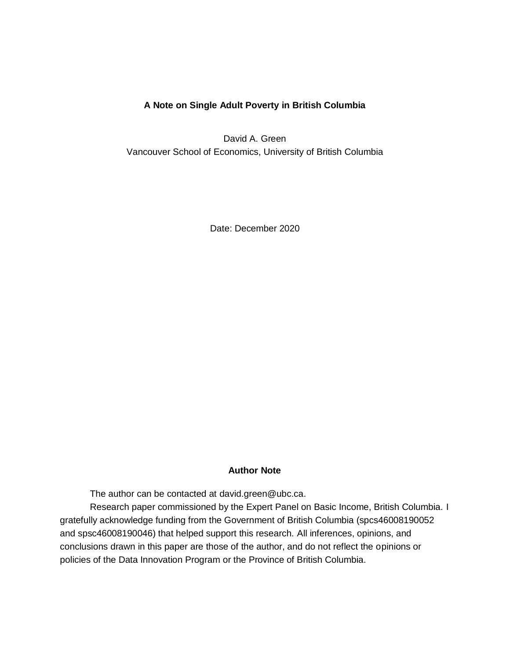## **A Note on Single Adult Poverty in British Columbia**

David A. Green Vancouver School of Economics, University of British Columbia

Date: December 2020

### **Author Note**

The author can be contacted at [david.green@ubc.ca.](mailto:david.green@ubc.ca)

Research paper commissioned by the Expert Panel on Basic Income, British Columbia. I gratefully acknowledge funding from the Government of British Columbia (spcs46008190052 and spsc46008190046) that helped support this research. All inferences, opinions, and conclusions drawn in this paper are those of the author, and do not reflect the opinions or policies of the Data Innovation Program or the Province of British Columbia.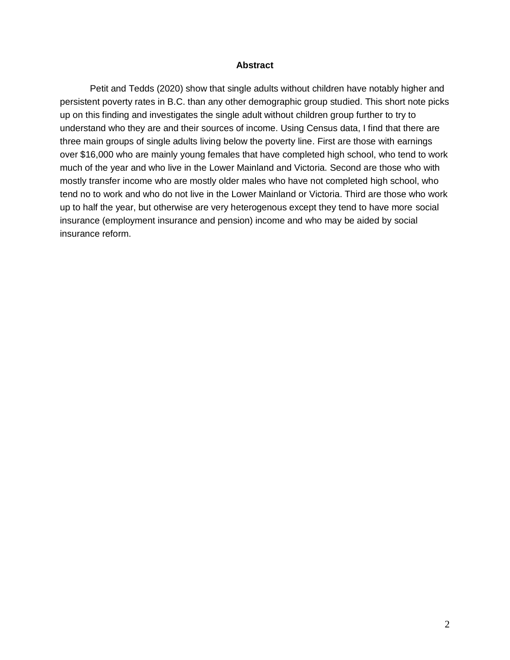#### **Abstract**

Petit and Tedds (2020) show that single adults without children have notably higher and persistent poverty rates in B.C. than any other demographic group studied. This short note picks up on this finding and investigates the single adult without children group further to try to understand who they are and their sources of income. Using Census data, I find that there are three main groups of single adults living below the poverty line. First are those with earnings over \$16,000 who are mainly young females that have completed high school, who tend to work much of the year and who live in the Lower Mainland and Victoria. Second are those who with mostly transfer income who are mostly older males who have not completed high school, who tend no to work and who do not live in the Lower Mainland or Victoria. Third are those who work up to half the year, but otherwise are very heterogenous except they tend to have more social insurance (employment insurance and pension) income and who may be aided by social insurance reform.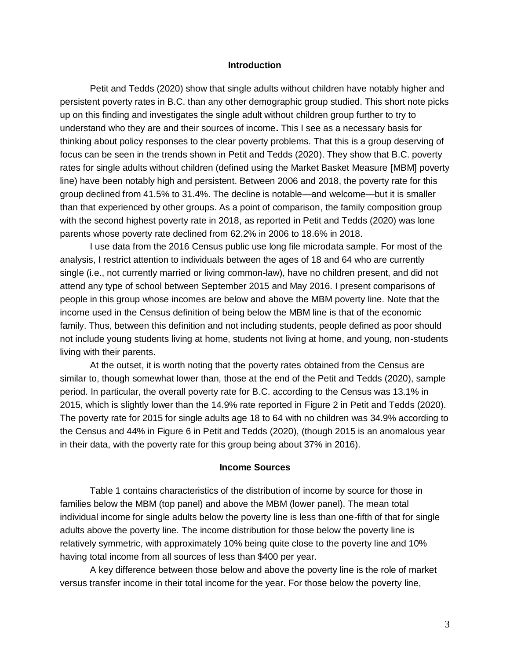#### **Introduction**

Petit and Tedds (2020) show that single adults without children have notably higher and persistent poverty rates in B.C. than any other demographic group studied. This short note picks up on this finding and investigates the single adult without children group further to try to understand who they are and their sources of income**.** This I see as a necessary basis for thinking about policy responses to the clear poverty problems. That this is a group deserving of focus can be seen in the trends shown in Petit and Tedds (2020). They show that B.C. poverty rates for single adults without children (defined using the Market Basket Measure [MBM] poverty line) have been notably high and persistent. Between 2006 and 2018, the poverty rate for this group declined from 41.5% to 31.4%. The decline is notable—and welcome—but it is smaller than that experienced by other groups. As a point of comparison, the family composition group with the second highest poverty rate in 2018, as reported in Petit and Tedds (2020) was lone parents whose poverty rate declined from 62.2% in 2006 to 18.6% in 2018.

I use data from the 2016 Census public use long file microdata sample. For most of the analysis, I restrict attention to individuals between the ages of 18 and 64 who are currently single (i.e., not currently married or living common-law), have no children present, and did not attend any type of school between September 2015 and May 2016. I present comparisons of people in this group whose incomes are below and above the MBM poverty line. Note that the income used in the Census definition of being below the MBM line is that of the economic family. Thus, between this definition and not including students, people defined as poor should not include young students living at home, students not living at home, and young, non-students living with their parents.

At the outset, it is worth noting that the poverty rates obtained from the Census are similar to, though somewhat lower than, those at the end of the Petit and Tedds (2020), sample period. In particular, the overall poverty rate for B.C. according to the Census was 13.1% in 2015, which is slightly lower than the 14.9% rate reported in Figure 2 in Petit and Tedds (2020). The poverty rate for 2015 for single adults age 18 to 64 with no children was 34.9% according to the Census and 44% in Figure 6 in Petit and Tedds (2020), (though 2015 is an anomalous year in their data, with the poverty rate for this group being about 37% in 2016).

### **Income Sources**

Table 1 contains characteristics of the distribution of income by source for those in families below the MBM (top panel) and above the MBM (lower panel). The mean total individual income for single adults below the poverty line is less than one-fifth of that for single adults above the poverty line. The income distribution for those below the poverty line is relatively symmetric, with approximately 10% being quite close to the poverty line and 10% having total income from all sources of less than \$400 per year.

A key difference between those below and above the poverty line is the role of market versus transfer income in their total income for the year. For those below the poverty line,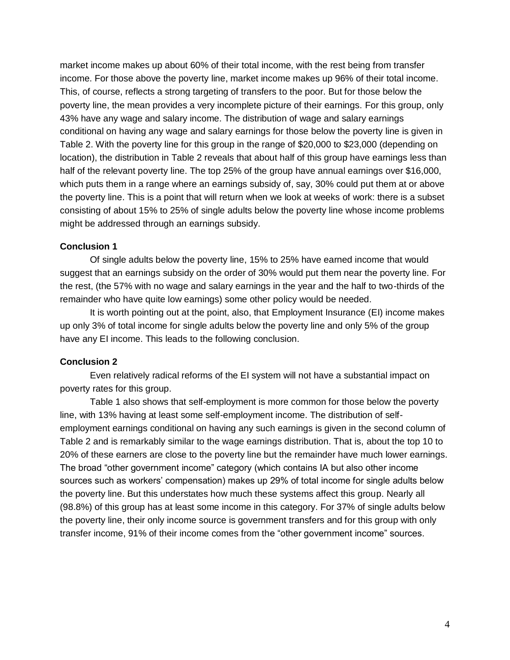market income makes up about 60% of their total income, with the rest being from transfer income. For those above the poverty line, market income makes up 96% of their total income. This, of course, reflects a strong targeting of transfers to the poor. But for those below the poverty line, the mean provides a very incomplete picture of their earnings. For this group, only 43% have any wage and salary income. The distribution of wage and salary earnings conditional on having any wage and salary earnings for those below the poverty line is given in Table 2. With the poverty line for this group in the range of \$20,000 to \$23,000 (depending on location), the distribution in Table 2 reveals that about half of this group have earnings less than half of the relevant poverty line. The top 25% of the group have annual earnings over \$16,000, which puts them in a range where an earnings subsidy of, say, 30% could put them at or above the poverty line. This is a point that will return when we look at weeks of work: there is a subset consisting of about 15% to 25% of single adults below the poverty line whose income problems might be addressed through an earnings subsidy.

### **Conclusion 1**

Of single adults below the poverty line, 15% to 25% have earned income that would suggest that an earnings subsidy on the order of 30% would put them near the poverty line. For the rest, (the 57% with no wage and salary earnings in the year and the half to two-thirds of the remainder who have quite low earnings) some other policy would be needed.

It is worth pointing out at the point, also, that Employment Insurance (EI) income makes up only 3% of total income for single adults below the poverty line and only 5% of the group have any EI income. This leads to the following conclusion.

### **Conclusion 2**

Even relatively radical reforms of the EI system will not have a substantial impact on poverty rates for this group.

Table 1 also shows that self-employment is more common for those below the poverty line, with 13% having at least some self-employment income. The distribution of selfemployment earnings conditional on having any such earnings is given in the second column of Table 2 and is remarkably similar to the wage earnings distribution. That is, about the top 10 to 20% of these earners are close to the poverty line but the remainder have much lower earnings. The broad "other government income" category (which contains IA but also other income sources such as workers' compensation) makes up 29% of total income for single adults below the poverty line. But this understates how much these systems affect this group. Nearly all (98.8%) of this group has at least some income in this category. For 37% of single adults below the poverty line, their only income source is government transfers and for this group with only transfer income, 91% of their income comes from the "other government income" sources.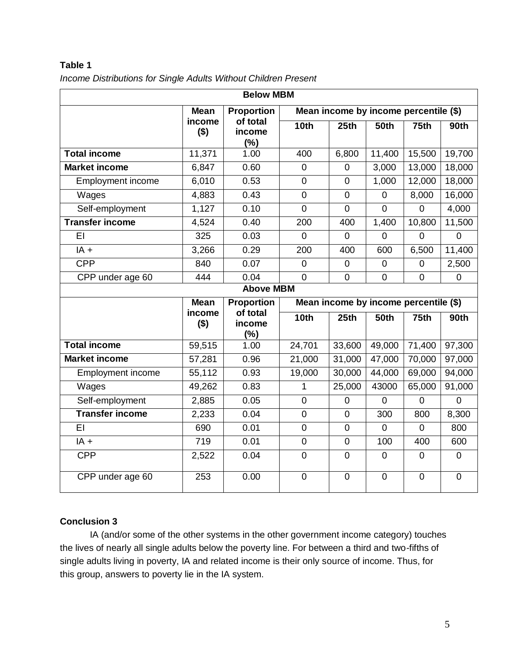| <b>Below MBM</b>         |                   |                           |                                       |                |                  |                |                |
|--------------------------|-------------------|---------------------------|---------------------------------------|----------------|------------------|----------------|----------------|
|                          | <b>Mean</b>       | <b>Proportion</b>         | Mean income by income percentile (\$) |                |                  |                |                |
|                          | income<br>$($ \$) | of total<br>income<br>(%) | 10 <sub>th</sub>                      | 25th           | <b>50th</b>      | 75th           | 90th           |
| <b>Total income</b>      | 11,371            | 1.00                      | 400                                   | 6,800          | 11,400           | 15,500         | 19,700         |
| <b>Market income</b>     | 6,847             | 0.60                      | $\overline{0}$                        | $\overline{0}$ | 3,000            | 13,000         | 18,000         |
| <b>Employment income</b> | 6,010             | 0.53                      | $\overline{0}$                        | $\mathbf 0$    | 1,000            | 12,000         | 18,000         |
| Wages                    | 4,883             | 0.43                      | $\pmb{0}$                             | $\pmb{0}$      | $\mathbf 0$      | 8,000          | 16,000         |
| Self-employment          | 1,127             | 0.10                      | $\overline{0}$                        | $\mathbf 0$    | $\overline{0}$   | $\overline{0}$ | 4,000          |
| <b>Transfer income</b>   | 4,524             | 0.40                      | 200                                   | 400            | 1,400            | 10,800         | 11,500         |
| EI                       | 325               | 0.03                      | $\Omega$                              | $\overline{0}$ | $\overline{0}$   | $\overline{0}$ | $\overline{0}$ |
| $IA +$                   | 3,266             | 0.29                      | 200                                   | 400            | 600              | 6,500          | 11,400         |
| <b>CPP</b>               | 840               | 0.07                      | $\overline{0}$                        | $\overline{0}$ | $\boldsymbol{0}$ | $\overline{0}$ | 2,500          |
| CPP under age 60         | 444               | 0.04                      | $\overline{0}$                        | $\mathbf 0$    | $\mathbf 0$      | $\mathbf 0$    | $\mathbf 0$    |
| <b>Above MBM</b>         |                   |                           |                                       |                |                  |                |                |
|                          | <b>Mean</b>       | <b>Proportion</b>         | Mean income by income percentile (\$) |                |                  |                |                |
|                          |                   |                           |                                       |                |                  |                |                |
|                          | income<br>$($ \$) | of total<br>income<br>(%) | 10th                                  | 25th           | <b>50th</b>      | 75th           | <b>90th</b>    |
| <b>Total income</b>      | 59,515            | 1.00                      | 24,701                                | 33,600         | 49,000           | 71,400         | 97,300         |
| <b>Market income</b>     | 57,281            | 0.96                      | 21,000                                | 31,000         | 47,000           | 70,000         | 97,000         |
| <b>Employment income</b> | 55,112            | 0.93                      | 19,000                                | 30,000         | 44,000           | 69,000         | 94,000         |
| Wages                    | 49,262            | 0.83                      | 1                                     | 25,000         | 43000            | 65,000         | 91,000         |
| Self-employment          | 2,885             | 0.05                      | $\mathbf 0$                           | $\mathbf 0$    | 0                | $\overline{0}$ | $\overline{0}$ |
| <b>Transfer income</b>   | 2,233             | 0.04                      | $\overline{0}$                        | $\overline{0}$ | 300              | 800            | 8,300          |
| EI                       | 690               | 0.01                      | $\mathbf 0$                           | $\mathbf 0$    | 0                | $\mathbf 0$    | 800            |
| $IA +$                   | 719               | 0.01                      | $\mathbf 0$                           | $\mathbf 0$    | 100              | 400            | 600            |
| <b>CPP</b>               | 2,522             | 0.04                      | $\overline{0}$                        | $\mathbf 0$    | $\mathbf 0$      | $\mathbf 0$    | $\mathbf 0$    |

*Income Distributions for Single Adults Without Children Present*

# **Conclusion 3**

IA (and/or some of the other systems in the other government income category) touches the lives of nearly all single adults below the poverty line. For between a third and two-fifths of single adults living in poverty, IA and related income is their only source of income. Thus, for this group, answers to poverty lie in the IA system.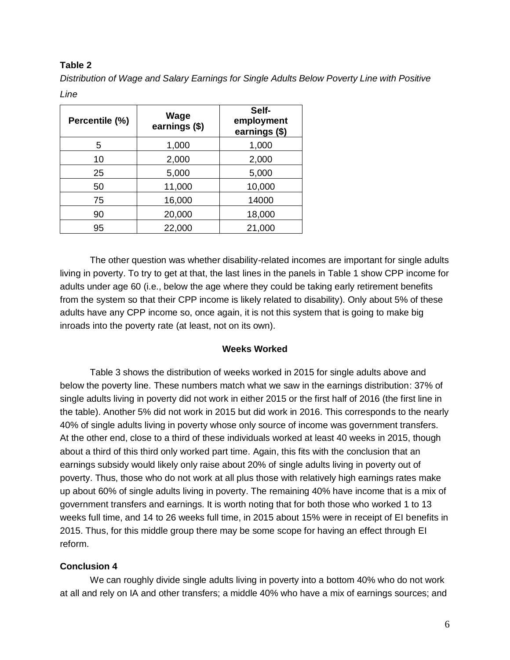*Distribution of Wage and Salary Earnings for Single Adults Below Poverty Line with Positive Line*

| Percentile (%) | Wage<br>earnings (\$) | Self-<br>employment<br>earnings (\$) |  |  |
|----------------|-----------------------|--------------------------------------|--|--|
| 5              | 1,000                 | 1,000                                |  |  |
| 10             | 2,000                 | 2,000                                |  |  |
| 25             | 5,000                 | 5,000                                |  |  |
| 50             | 11,000                | 10,000                               |  |  |
| 75             | 16,000                | 14000                                |  |  |
| 90             | 20,000                | 18,000                               |  |  |
| 95             | 22,000                | 21,000                               |  |  |

The other question was whether disability-related incomes are important for single adults living in poverty. To try to get at that, the last lines in the panels in Table 1 show CPP income for adults under age 60 (i.e., below the age where they could be taking early retirement benefits from the system so that their CPP income is likely related to disability). Only about 5% of these adults have any CPP income so, once again, it is not this system that is going to make big inroads into the poverty rate (at least, not on its own).

## **Weeks Worked**

Table 3 shows the distribution of weeks worked in 2015 for single adults above and below the poverty line. These numbers match what we saw in the earnings distribution: 37% of single adults living in poverty did not work in either 2015 or the first half of 2016 (the first line in the table). Another 5% did not work in 2015 but did work in 2016. This corresponds to the nearly 40% of single adults living in poverty whose only source of income was government transfers. At the other end, close to a third of these individuals worked at least 40 weeks in 2015, though about a third of this third only worked part time. Again, this fits with the conclusion that an earnings subsidy would likely only raise about 20% of single adults living in poverty out of poverty. Thus, those who do not work at all plus those with relatively high earnings rates make up about 60% of single adults living in poverty. The remaining 40% have income that is a mix of government transfers and earnings. It is worth noting that for both those who worked 1 to 13 weeks full time, and 14 to 26 weeks full time, in 2015 about 15% were in receipt of EI benefits in 2015. Thus, for this middle group there may be some scope for having an effect through EI reform.

## **Conclusion 4**

We can roughly divide single adults living in poverty into a bottom 40% who do not work at all and rely on IA and other transfers; a middle 40% who have a mix of earnings sources; and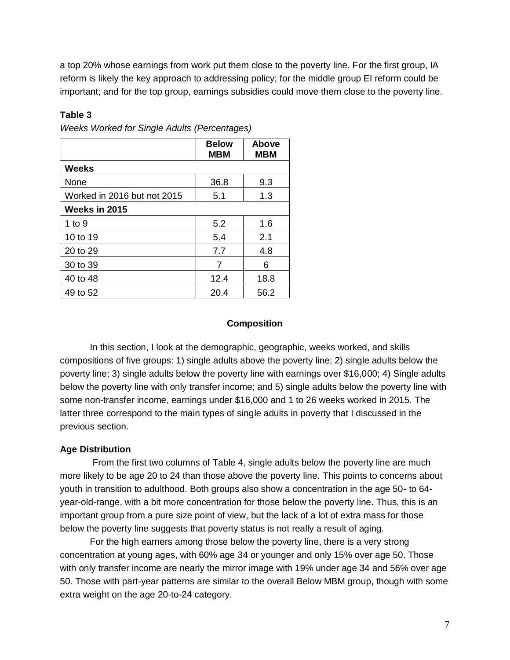a top 20% whose earnings from work put them close to the poverty line. For the first group, IA reform is likely the key approach to addressing policy; for the middle group EI reform could be important; and for the top group, earnings subsidies could move them close to the poverty line.

## **Table 3**

|                             | <b>Below</b><br><b>MBM</b> | Above<br><b>MBM</b> |
|-----------------------------|----------------------------|---------------------|
| <b>Weeks</b>                |                            |                     |
| None                        | 36.8                       | 9.3                 |
| Worked in 2016 but not 2015 | 5.1                        | 1.3                 |
| Weeks in 2015               |                            |                     |
| 1 to $9$                    | 5.2                        | 1.6                 |
| 10 to 19                    | 5.4                        | 2.1                 |
| 20 to 29                    | 7.7                        | 4.8                 |
| 30 to 39                    | 7                          | 6                   |
| 40 to 48                    | 12.4                       | 18.8                |
| 49 to 52                    | 20.4                       | 56.2                |

*Weeks Worked for Single Adults (Percentages)*

## **Composition**

In this section, I look at the demographic, geographic, weeks worked, and skills compositions of five groups: 1) single adults above the poverty line; 2) single adults below the poverty line; 3) single adults below the poverty line with earnings over \$16,000; 4) Single adults below the poverty line with only transfer income; and 5) single adults below the poverty line with some non-transfer income, earnings under \$16,000 and 1 to 26 weeks worked in 2015. The latter three correspond to the main types of single adults in poverty that I discussed in the previous section.

## **Age Distribution**

From the first two columns of Table 4, single adults below the poverty line are much more likely to be age 20 to 24 than those above the poverty line. This points to concerns about youth in transition to adulthood. Both groups also show a concentration in the age 50- to 64 year-old-range, with a bit more concentration for those below the poverty line. Thus, this is an important group from a pure size point of view, but the lack of a lot of extra mass for those below the poverty line suggests that poverty status is not really a result of aging.

For the high earners among those below the poverty line, there is a very strong concentration at young ages, with 60% age 34 or younger and only 15% over age 50. Those with only transfer income are nearly the mirror image with 19% under age 34 and 56% over age 50. Those with part-year patterns are similar to the overall Below MBM group, though with some extra weight on the age 20-to-24 category.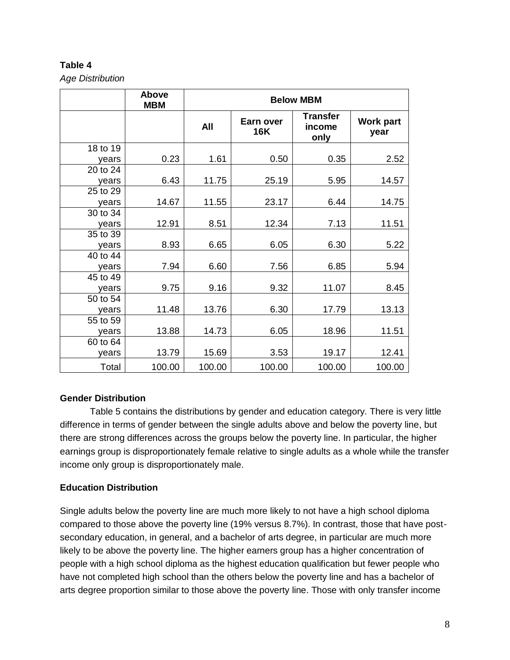*Age Distribution*

|          | Above<br><b>MBM</b> |        | <b>Below MBM</b>        |                                   |                          |  |  |
|----------|---------------------|--------|-------------------------|-----------------------------------|--------------------------|--|--|
|          |                     | All    | Earn over<br><b>16K</b> | <b>Transfer</b><br>income<br>only | <b>Work part</b><br>year |  |  |
| 18 to 19 |                     |        |                         |                                   |                          |  |  |
| years    | 0.23                | 1.61   | 0.50                    | 0.35                              | 2.52                     |  |  |
| 20 to 24 |                     |        |                         |                                   |                          |  |  |
| years    | 6.43                | 11.75  | 25.19                   | 5.95                              | 14.57                    |  |  |
| 25 to 29 |                     |        |                         |                                   |                          |  |  |
| years    | 14.67               | 11.55  | 23.17                   | 6.44                              | 14.75                    |  |  |
| 30 to 34 |                     |        |                         |                                   |                          |  |  |
| years    | 12.91               | 8.51   | 12.34                   | 7.13                              | 11.51                    |  |  |
| 35 to 39 |                     |        |                         |                                   |                          |  |  |
| years    | 8.93                | 6.65   | 6.05                    | 6.30                              | 5.22                     |  |  |
| 40 to 44 |                     |        |                         |                                   |                          |  |  |
| years    | 7.94                | 6.60   | 7.56                    | 6.85                              | 5.94                     |  |  |
| 45 to 49 |                     |        |                         |                                   |                          |  |  |
| years    | 9.75                | 9.16   | 9.32                    | 11.07                             | 8.45                     |  |  |
| 50 to 54 |                     |        |                         |                                   |                          |  |  |
| years    | 11.48               | 13.76  | 6.30                    | 17.79                             | 13.13                    |  |  |
| 55 to 59 |                     |        |                         |                                   |                          |  |  |
| years    | 13.88               | 14.73  | 6.05                    | 18.96                             | 11.51                    |  |  |
| 60 to 64 |                     |        |                         |                                   |                          |  |  |
| years    | 13.79               | 15.69  | 3.53                    | 19.17                             | 12.41                    |  |  |
| Total    | 100.00              | 100.00 | 100.00                  | 100.00                            | 100.00                   |  |  |

# **Gender Distribution**

Table 5 contains the distributions by gender and education category. There is very little difference in terms of gender between the single adults above and below the poverty line, but there are strong differences across the groups below the poverty line. In particular, the higher earnings group is disproportionately female relative to single adults as a whole while the transfer income only group is disproportionately male.

# **Education Distribution**

Single adults below the poverty line are much more likely to not have a high school diploma compared to those above the poverty line (19% versus 8.7%). In contrast, those that have postsecondary education, in general, and a bachelor of arts degree, in particular are much more likely to be above the poverty line. The higher earners group has a higher concentration of people with a high school diploma as the highest education qualification but fewer people who have not completed high school than the others below the poverty line and has a bachelor of arts degree proportion similar to those above the poverty line. Those with only transfer income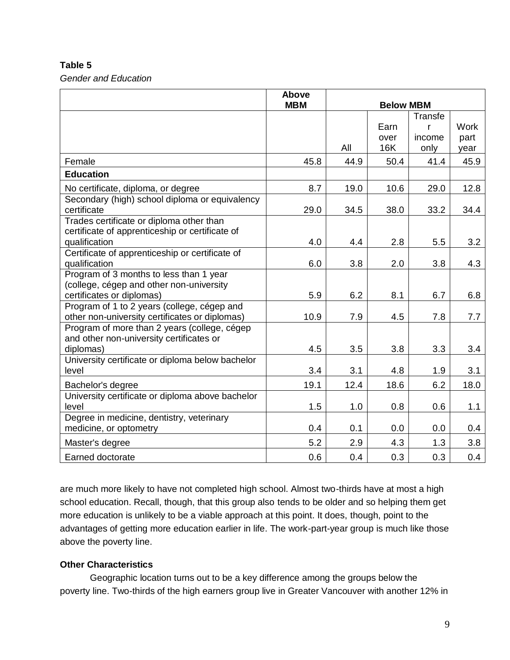*Gender and Education*

|                                                       | Above<br><b>MBM</b> | <b>Below MBM</b> |      |         |             |
|-------------------------------------------------------|---------------------|------------------|------|---------|-------------|
|                                                       |                     |                  |      | Transfe |             |
|                                                       |                     |                  | Earn | r       | <b>Work</b> |
|                                                       |                     |                  | over | income  | part        |
|                                                       |                     | All              | 16K  | only    | year        |
| Female                                                | 45.8                | 44.9             | 50.4 | 41.4    | 45.9        |
| <b>Education</b>                                      |                     |                  |      |         |             |
| No certificate, diploma, or degree                    | 8.7                 | 19.0             | 10.6 | 29.0    | 12.8        |
| Secondary (high) school diploma or equivalency        |                     |                  |      |         |             |
| certificate                                           | 29.0                | 34.5             | 38.0 | 33.2    | 34.4        |
| Trades certificate or diploma other than              |                     |                  |      |         |             |
| certificate of apprenticeship or certificate of       |                     |                  |      |         |             |
| qualification                                         | 4.0                 | 4.4              | 2.8  | 5.5     | 3.2         |
| Certificate of apprenticeship or certificate of       |                     |                  |      |         |             |
| qualification                                         | 6.0                 | 3.8              | 2.0  | 3.8     | 4.3         |
| Program of 3 months to less than 1 year               |                     |                  |      |         |             |
| (college, cégep and other non-university              |                     |                  |      |         |             |
| certificates or diplomas)                             | 5.9                 | 6.2              | 8.1  | 6.7     | 6.8         |
| Program of 1 to 2 years (college, cégep and           |                     |                  |      |         |             |
| other non-university certificates or diplomas)        | 10.9                | 7.9              | 4.5  | 7.8     | 7.7         |
| Program of more than 2 years (college, cégep          |                     |                  |      |         |             |
| and other non-university certificates or<br>diplomas) | 4.5                 | 3.5              | 3.8  | 3.3     | 3.4         |
| University certificate or diploma below bachelor      |                     |                  |      |         |             |
| level                                                 | 3.4                 | 3.1              | 4.8  | 1.9     | 3.1         |
|                                                       |                     |                  |      |         |             |
| Bachelor's degree                                     | 19.1                | 12.4             | 18.6 | 6.2     | 18.0        |
| University certificate or diploma above bachelor      |                     |                  |      |         |             |
| level                                                 | 1.5                 | 1.0              | 0.8  | 0.6     | 1.1         |
| Degree in medicine, dentistry, veterinary             |                     |                  |      |         |             |
| medicine, or optometry                                | 0.4                 | 0.1              | 0.0  | 0.0     | 0.4         |
| Master's degree                                       | 5.2                 | 2.9              | 4.3  | 1.3     | 3.8         |
| Earned doctorate                                      | 0.6                 | 0.4              | 0.3  | 0.3     | 0.4         |

are much more likely to have not completed high school. Almost two-thirds have at most a high school education. Recall, though, that this group also tends to be older and so helping them get more education is unlikely to be a viable approach at this point. It does, though, point to the advantages of getting more education earlier in life. The work-part-year group is much like those above the poverty line.

## **Other Characteristics**

Geographic location turns out to be a key difference among the groups below the poverty line. Two-thirds of the high earners group live in Greater Vancouver with another 12% in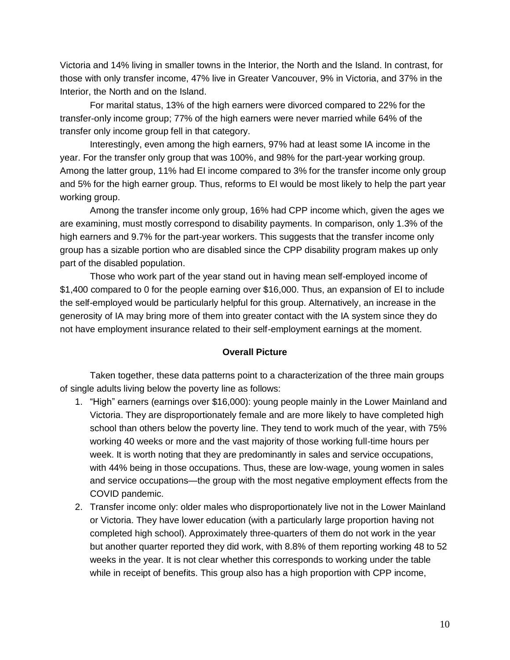Victoria and 14% living in smaller towns in the Interior, the North and the Island. In contrast, for those with only transfer income, 47% live in Greater Vancouver, 9% in Victoria, and 37% in the Interior, the North and on the Island.

For marital status, 13% of the high earners were divorced compared to 22% for the transfer-only income group; 77% of the high earners were never married while 64% of the transfer only income group fell in that category.

Interestingly, even among the high earners, 97% had at least some IA income in the year. For the transfer only group that was 100%, and 98% for the part-year working group. Among the latter group, 11% had EI income compared to 3% for the transfer income only group and 5% for the high earner group. Thus, reforms to EI would be most likely to help the part year working group.

Among the transfer income only group, 16% had CPP income which, given the ages we are examining, must mostly correspond to disability payments. In comparison, only 1.3% of the high earners and 9.7% for the part-year workers. This suggests that the transfer income only group has a sizable portion who are disabled since the CPP disability program makes up only part of the disabled population.

Those who work part of the year stand out in having mean self-employed income of \$1,400 compared to 0 for the people earning over \$16,000. Thus, an expansion of EI to include the self-employed would be particularly helpful for this group. Alternatively, an increase in the generosity of IA may bring more of them into greater contact with the IA system since they do not have employment insurance related to their self-employment earnings at the moment.

### **Overall Picture**

Taken together, these data patterns point to a characterization of the three main groups of single adults living below the poverty line as follows:

- 1. "High" earners (earnings over \$16,000): young people mainly in the Lower Mainland and Victoria. They are disproportionately female and are more likely to have completed high school than others below the poverty line. They tend to work much of the year, with 75% working 40 weeks or more and the vast majority of those working full-time hours per week. It is worth noting that they are predominantly in sales and service occupations, with 44% being in those occupations. Thus, these are low-wage, young women in sales and service occupations—the group with the most negative employment effects from the COVID pandemic.
- 2. Transfer income only: older males who disproportionately live not in the Lower Mainland or Victoria. They have lower education (with a particularly large proportion having not completed high school). Approximately three-quarters of them do not work in the year but another quarter reported they did work, with 8.8% of them reporting working 48 to 52 weeks in the year. It is not clear whether this corresponds to working under the table while in receipt of benefits. This group also has a high proportion with CPP income,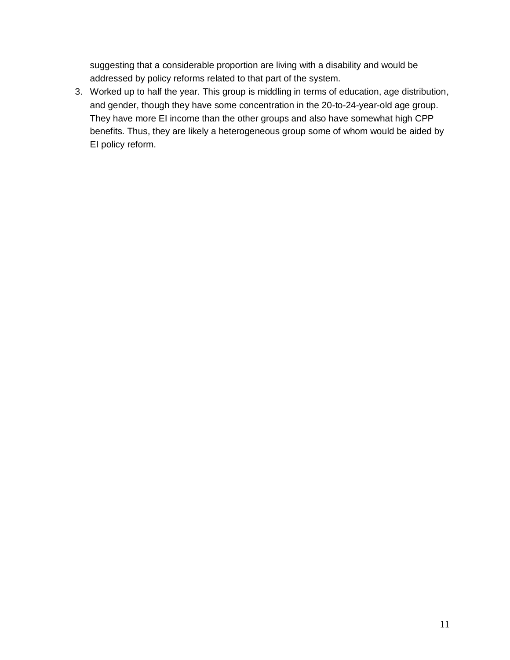suggesting that a considerable proportion are living with a disability and would be addressed by policy reforms related to that part of the system.

3. Worked up to half the year. This group is middling in terms of education, age distribution, and gender, though they have some concentration in the 20-to-24-year-old age group. They have more EI income than the other groups and also have somewhat high CPP benefits. Thus, they are likely a heterogeneous group some of whom would be aided by EI policy reform.